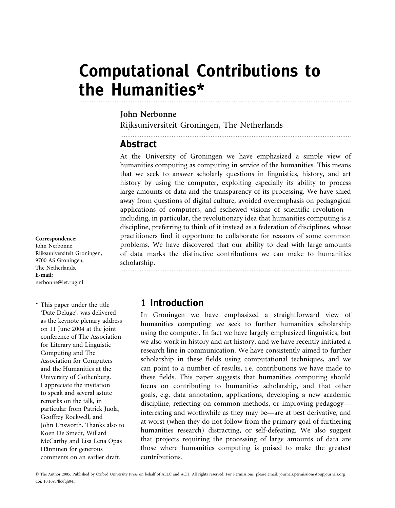# Computational Contributions to the Humanities\* .........................................................................................................................................................

### John Nerbonne

Rijksuniversiteit Groningen, The Netherlands

..................................................................................................................................

..................................................................................................................................

# **Abstract**

At the University of Groningen we have emphasized a simple view of humanities computing as computing in service of the humanities. This means that we seek to answer scholarly questions in linguistics, history, and art history by using the computer, exploiting especially its ability to process large amounts of data and the transparency of its processing. We have shied away from questions of digital culture, avoided overemphasis on pedagogical applications of computers, and eschewed visions of scientific revolution including, in particular, the revolutionary idea that humanities computing is a discipline, preferring to think of it instead as a federation of disciplines, whose practitioners find it opportune to collaborate for reasons of some common problems. We have discovered that our ability to deal with large amounts of data marks the distinctive contributions we can make to humanities scholarship.

#### Correspondence:

John Nerbonne, Rijksuniversiteit Groningen, 9700 AS Groningen, The Netherlands. E-mail: nerbonne@let.rug.nl

\* This paper under the title 'Date Deluge', was delivered as the keynote plenary address on 11 June 2004 at the joint conference of The Association for Literary and Linguistic Computing and The Association for Computers and the Humanities at the University of Gothenburg. I appreciate the invitation to speak and several astute remarks on the talk, in particular from Patrick Juola, Geoffrey Rockwell, and John Unsworth. Thanks also to Koen De Smedt, Willard McCarthy and Lisa Lena Opas Hänninen for generous comments on an earlier draft.

### 1 Introduction

In Groningen we have emphasized a straightforward view of humanities computing: we seek to further humanities scholarship using the computer. In fact we have largely emphasized linguistics, but we also work in history and art history, and we have recently initiated a research line in communication. We have consistently aimed to further scholarship in these fields using computational techniques, and we can point to a number of results, i.e. contributions we have made to these fields. This paper suggests that humanities computing should focus on contributing to humanities scholarship, and that other goals, e.g. data annotation, applications, developing a new academic discipline, reflecting on common methods, or improving pedagogy interesting and worthwhile as they may be—are at best derivative, and at worst (when they do not follow from the primary goal of furthering humanities research) distracting, or self-defeating. We also suggest that projects requiring the processing of large amounts of data are those where humanities computing is poised to make the greatest contributions.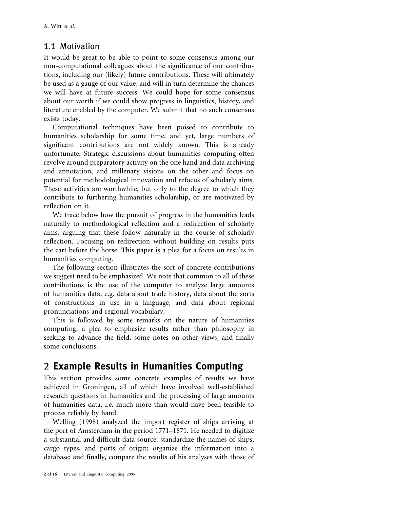### 1.1 Motivation

It would be great to be able to point to some consensus among our non-computational colleagues about the significance of our contributions, including our (likely) future contributions. These will ultimately be used as a gauge of our value, and will in turn determine the chances we will have at future success. We could hope for some consensus about our worth if we could show progress in linguistics, history, and literature enabled by the computer. We submit that no such consensus exists today.

Computational techniques have been poised to contribute to humanities scholarship for some time, and yet, large numbers of significant contributions are not widely known. This is already unfortunate. Strategic discussions about humanities computing often revolve around preparatory activity on the one hand and data archiving and annotation, and millenary visions on the other and focus on potential for methodological innovation and refocus of scholarly aims. These activities are worthwhile, but only to the degree to which they contribute to furthering humanities scholarship, or are motivated by reflection on it.

We trace below how the pursuit of progress in the humanities leads naturally to methodological reflection and a redirection of scholarly aims, arguing that these follow naturally in the course of scholarly reflection. Focusing on redirection without building on results puts the cart before the horse. This paper is a plea for a focus on results in humanities computing.

The following section illustrates the sort of concrete contributions we suggest need to be emphasized. We note that common to all of these contributions is the use of the computer to analyze large amounts of humanities data, e.g. data about trade history, data about the sorts of constructions in use in a language, and data about regional pronunciations and regional vocabulary.

This is followed by some remarks on the nature of humanities computing, a plea to emphasize results rather than philosophy in seeking to advance the field, some notes on other views, and finally some conclusions.

# 2 Example Results in Humanities Computing

This section provides some concrete examples of results we have achieved in Groningen, all of which have involved well-established research questions in humanities and the processing of large amounts of humanities data, i.e. much more than would have been feasible to process reliably by hand.

Welling (1998) analyzed the import register of ships arriving at the port of Amsterdam in the period 1771–1871. He needed to digitize a substantial and difficult data source: standardize the names of ships, cargo types, and ports of origin; organize the information into a database; and finally, compare the results of his analyses with those of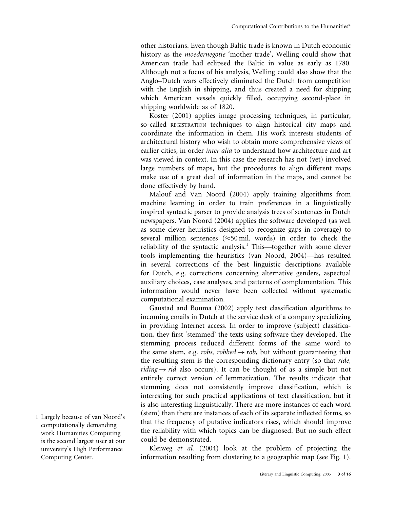other historians. Even though Baltic trade is known in Dutch economic history as the moedernegotie 'mother trade', Welling could show that American trade had eclipsed the Baltic in value as early as 1780. Although not a focus of his analysis, Welling could also show that the Anglo–Dutch wars effectively eliminated the Dutch from competition with the English in shipping, and thus created a need for shipping which American vessels quickly filled, occupying second-place in shipping worldwide as of 1820.

Koster (2001) applies image processing techniques, in particular, so-called REGISTRATION techniques to align historical city maps and coordinate the information in them. His work interests students of architectural history who wish to obtain more comprehensive views of earlier cities, in order inter alia to understand how architecture and art was viewed in context. In this case the research has not (yet) involved large numbers of maps, but the procedures to align different maps make use of a great deal of information in the maps, and cannot be done effectively by hand.

Malouf and Van Noord (2004) apply training algorithms from machine learning in order to train preferences in a linguistically inspired syntactic parser to provide analysis trees of sentences in Dutch newspapers. Van Noord (2004) applies the software developed (as well as some clever heuristics designed to recognize gaps in coverage) to several million sentences ( $\approx$ 50 mil. words) in order to check the reliability of the syntactic analysis.<sup>1</sup> This—together with some clever tools implementing the heuristics (van Noord, 2004)—has resulted in several corrections of the best linguistic descriptions available for Dutch, e.g. corrections concerning alternative genders, aspectual auxiliary choices, case analyses, and patterns of complementation. This information would never have been collected without systematic computational examination.

Gaustad and Bouma (2002) apply text classification algorithms to incoming emails in Dutch at the service desk of a company specializing in providing Internet access. In order to improve (subject) classification, they first 'stemmed' the texts using software they developed. The stemming process reduced different forms of the same word to the same stem, e.g. *robs, robbed*  $\rightarrow$  *rob*, but without guaranteeing that the resulting stem is the corresponding dictionary entry (so that ride, *riding*  $\rightarrow$  *rid* also occurs). It can be thought of as a simple but not entirely correct version of lemmatization. The results indicate that stemming does not consistently improve classification, which is interesting for such practical applications of text classification, but it is also interesting linguistically. There are more instances of each word (stem) than there are instances of each of its separate inflected forms, so that the frequency of putative indicators rises, which should improve the reliability with which topics can be diagnosed. But no such effect could be demonstrated.

Kleiweg et al. (2004) look at the problem of projecting the information resulting from clustering to a geographic map (see Fig. 1).

1 Largely because of van Noord's computationally demanding work Humanities Computing is the second largest user at our university's High Performance Computing Center.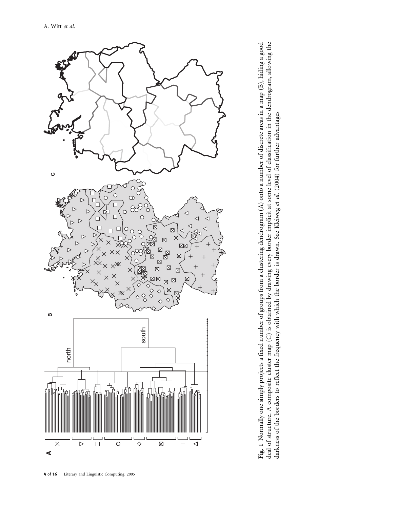

Fig. 1 Normally one simply projects a fixed number of groups from a clustering dendrogram (A) onto a number of discrete areas in a map (B), hiding a good deal of structure. A composite cluster map (C) is obtained by drawing every border implicit at some level of classification in the dendrogram, allowing the Fig. 1 Normally one simply projects a fixed number of groups from a clustering dendrogram (A) onto a number of discrete areas in a map (B), hiding a good deal of structure. A composite cluster map (C) is obtained by drawing every border implicit at some level of classification in the dendrogram, allowing the darkness of the borders to reflect the frequency with which the border is drawn. See Kleiweg et al. (2004) for further advantages darkness of the borders to reflect the frequency with which the border is drawn. See Kleiweg et al. (2004) for further advantages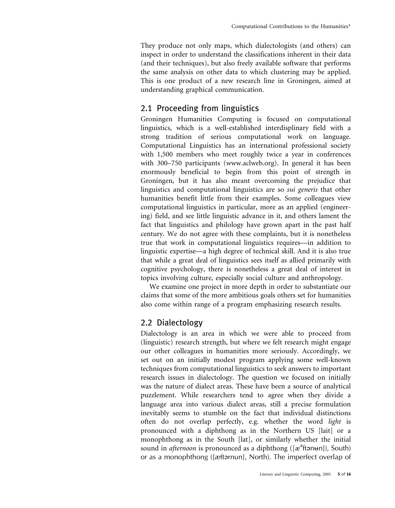They produce not only maps, which dialectologists (and others) can inspect in order to understand the classifications inherent in their data (and their techniques), but also freely available software that performs the same analysis on other data to which clustering may be applied. This is one product of a new research line in Groningen, aimed at understanding graphical communication.

### 2.1 Proceeding from linguistics

Groningen Humanities Computing is focused on computational linguistics, which is a well-established interdisplinary field with a strong tradition of serious computational work on language. Computational Linguistics has an international professional society with 1,500 members who meet roughly twice a year in conferences with 300–750 participants (www.aclweb.org). In general it has been enormously beneficial to begin from this point of strength in Groningen, but it has also meant overcoming the prejudice that linguistics and computational linguistics are so sui generis that other humanities benefit little from their examples. Some colleagues view computational linguistics in particular, more as an applied (engineering) field, and see little linguistic advance in it, and others lament the fact that linguistics and philology have grown apart in the past half century. We do not agree with these complaints, but it is nonetheless true that work in computational linguistics requires—in addition to linguistic expertise—a high degree of technical skill. And it is also true that while a great deal of linguistics sees itself as allied primarily with cognitive psychology, there is nonetheless a great deal of interest in topics involving culture, especially social culture and anthropology.

We examine one project in more depth in order to substantiate our claims that some of the more ambitious goals others set for humanities also come within range of a program emphasizing research results.

### 2.2 Dialectology

Dialectology is an area in which we were able to proceed from (linguistic) research strength, but where we felt research might engage our other colleagues in humanities more seriously. Accordingly, we set out on an initially modest program applying some well-known techniques from computational linguistics to seek answers to important research issues in dialectology. The question we focused on initially was the nature of dialect areas. These have been a source of analytical puzzlement. While researchers tend to agree when they divide a language area into various dialect areas, still a precise formulation inevitably seems to stumble on the fact that individual distinctions often do not overlap perfectly, e.g. whether the word light is pronounced with a diphthong as in the Northern US [lait] or a monophthong as in the South [lat], or similarly whether the initial sound in afternoon is pronounced as a diphthong ([æ<sup>3</sup>ftanun]), South) or as a monophthong ([æftarnun], North). The imperfect overlap of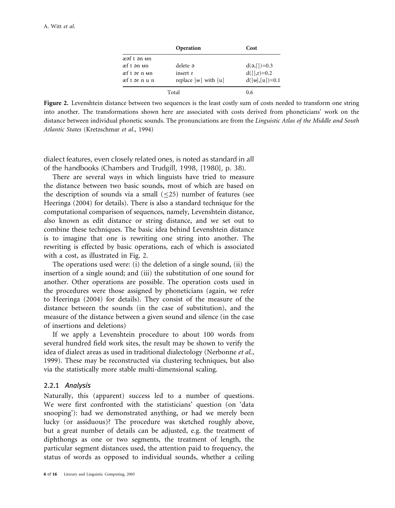|                         | Operation                     | Cost             |
|-------------------------|-------------------------------|------------------|
| æəf t ən <del>u</del> n |                               |                  |
| æf t ən <del>u</del> n  | delete a                      | $d(a,[.)=0.3]$   |
| æft ar n <del>u</del> n | insert r                      | $d([x],r)=0.2$   |
| æft ər nun              | replace $[\theta]$ with $[u]$ | $d([H],[u])=0.1$ |
| Total                   |                               | 0.6              |

Figure 2. Levenshtein distance between two sequences is the least costly sum of costs needed to transform one string into another. The transformations shown here are associated with costs derived from phoneticians' work on the distance between individual phonetic sounds. The pronunciations are from the Linguistic Atlas of the Middle and South Atlantic States (Kretzschmar et al., 1994)

dialect features, even closely related ones, is noted as standard in all of the handbooks (Chambers and Trudgill, 1998, [1980], p. 38).

There are several ways in which linguists have tried to measure the distance between two basic sounds, most of which are based on the description of sounds via a small  $(<25)$  number of features (see Heeringa (2004) for details). There is also a standard technique for the computational comparison of sequences, namely, Levenshtein distance, also known as edit distance or string distance, and we set out to combine these techniques. The basic idea behind Levenshtein distance is to imagine that one is rewriting one string into another. The rewriting is effected by basic operations, each of which is associated with a cost, as illustrated in Fig. 2.

The operations used were: (i) the deletion of a single sound, (ii) the insertion of a single sound; and (iii) the substitution of one sound for another. Other operations are possible. The operation costs used in the procedures were those assigned by phoneticians (again, we refer to Heeringa (2004) for details). They consist of the measure of the distance between the sounds (in the case of substitution), and the measure of the distance between a given sound and silence (in the case of insertions and deletions)

If we apply a Levenshtein procedure to about 100 words from several hundred field work sites, the result may be shown to verify the idea of dialect areas as used in traditional dialectology (Nerbonne et al., 1999). These may be reconstructed via clustering techniques, but also via the statistically more stable multi-dimensional scaling.

#### 2.2.1 Analysis

Naturally, this (apparent) success led to a number of questions. We were first confronted with the statisticians' question (on 'data snooping'): had we demonstrated anything, or had we merely been lucky (or assiduous)? The procedure was sketched roughly above, but a great number of details can be adjusted, e.g. the treatment of diphthongs as one or two segments, the treatment of length, the particular segment distances used, the attention paid to frequency, the status of words as opposed to individual sounds, whether a ceiling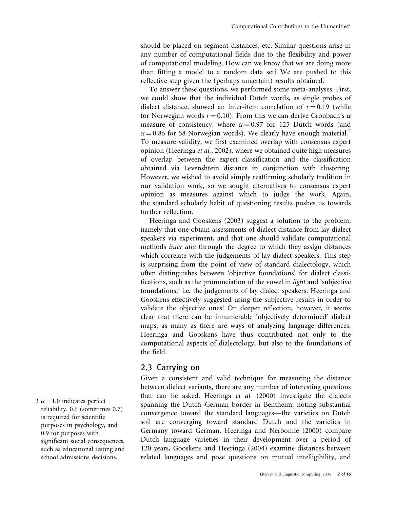should be placed on segment distances, etc. Similar questions arise in any number of computational fields due to the flexibility and power of computational modeling. How can we know that we are doing more than fitting a model to a random data set? We are pushed to this reflective step given the (perhaps uncertain) results obtained.

To answer these questions, we performed some meta-analyses. First, we could show that the individual Dutch words, as single probes of dialect distance, showed an inter-item correlation of  $r = 0.19$  (while for Norwegian words  $r = 0.10$ ). From this we can derive Cronbach's  $\alpha$ measure of consistency, where  $\alpha = 0.97$  for 125 Dutch words (and  $\alpha$  = 0.86 for 58 Norwegian words). We clearly have enough material.<sup>2</sup> To measure validity, we first examined overlap with consensus expert opinion (Heeringa et al., 2002), where we obtained quite high measures of overlap between the expert classification and the classification obtained via Levenshtein distance in conjunction with clustering. However, we wished to avoid simply reaffirming scholarly tradition in our validation work, so we sought alternatives to consensus expert opinion as measures against which to judge the work. Again, the standard scholarly habit of questioning results pushes us towards further reflection.

Heeringa and Gooskens (2003) suggest a solution to the problem, namely that one obtain assessments of dialect distance from lay dialect speakers via experiment, and that one should validate computational methods inter alia through the degree to which they assign distances which correlate with the judgements of lay dialect speakers. This step is surprising from the point of view of standard dialectology, which often distinguishes between 'objective foundations' for dialect classifications, such as the pronunciation of the vowel in light and 'subjective foundations,' i.e. the judgements of lay dialect speakers. Heeringa and Gooskens effectively suggested using the subjective results in order to validate the objective ones! On deeper reflection, however, it seems clear that there can be innumerable 'objectively determined' dialect maps, as many as there are ways of analyzing language differences. Heeringa and Gooskens have thus contributed not only to the computational aspects of dialectology, but also to the foundations of the field.

#### 2.3 Carrying on

Given a consistent and valid technique for measuring the distance between dialect variants, there are any number of interesting questions that can be asked. Heeringa et al. (2000) investigate the dialects spanning the Dutch–German border in Bentheim, noting substantial convergence toward the standard languages—the varieties on Dutch soil are converging toward standard Dutch and the varieties in Germany toward German. Heeringa and Nerbonne (2000) compare Dutch language varieties in their development over a period of 120 years, Gooskens and Heeringa (2004) examine distances between related languages and pose questions on mutual intelligibility, and

 $2 \alpha = 1.0$  indicates perfect reliability. 0.6 (sometimes 0.7) is required for scientific purposes in psychology, and 0.9 for purposes with significant social consequences, such as educational testing and school admissions decisions.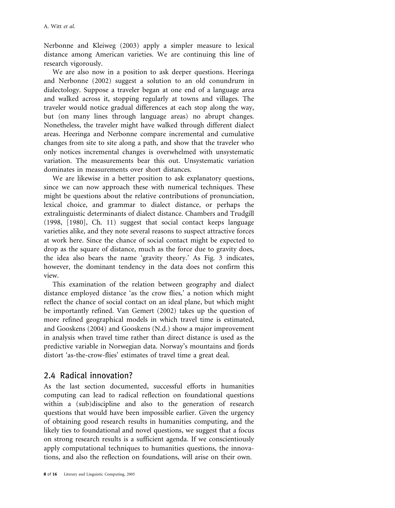Nerbonne and Kleiweg (2003) apply a simpler measure to lexical distance among American varieties. We are continuing this line of research vigorously.

We are also now in a position to ask deeper questions. Heeringa and Nerbonne (2002) suggest a solution to an old conundrum in dialectology. Suppose a traveler began at one end of a language area and walked across it, stopping regularly at towns and villages. The traveler would notice gradual differences at each stop along the way, but (on many lines through language areas) no abrupt changes. Nonetheless, the traveler might have walked through different dialect areas. Heeringa and Nerbonne compare incremental and cumulative changes from site to site along a path, and show that the traveler who only notices incremental changes is overwhelmed with unsystematic variation. The measurements bear this out. Unsystematic variation dominates in measurements over short distances.

We are likewise in a better position to ask explanatory questions, since we can now approach these with numerical techniques. These might be questions about the relative contributions of pronunciation, lexical choice, and grammar to dialect distance, or perhaps the extralinguistic determinants of dialect distance. Chambers and Trudgill (1998, [1980], Ch. 11) suggest that social contact keeps language varieties alike, and they note several reasons to suspect attractive forces at work here. Since the chance of social contact might be expected to drop as the square of distance, much as the force due to gravity does, the idea also bears the name 'gravity theory.' As Fig. 3 indicates, however, the dominant tendency in the data does not confirm this view.

This examination of the relation between geography and dialect distance employed distance 'as the crow flies,' a notion which might reflect the chance of social contact on an ideal plane, but which might be importantly refined. Van Gemert (2002) takes up the question of more refined geographical models in which travel time is estimated, and Gooskens (2004) and Gooskens (N.d.) show a major improvement in analysis when travel time rather than direct distance is used as the predictive variable in Norwegian data. Norway's mountains and fjords distort 'as-the-crow-flies' estimates of travel time a great deal.

### 2.4 Radical innovation?

As the last section documented, successful efforts in humanities computing can lead to radical reflection on foundational questions within a (sub)discipline and also to the generation of research questions that would have been impossible earlier. Given the urgency of obtaining good research results in humanities computing, and the likely ties to foundational and novel questions, we suggest that a focus on strong research results is a sufficient agenda. If we conscientiously apply computational techniques to humanities questions, the innovations, and also the reflection on foundations, will arise on their own.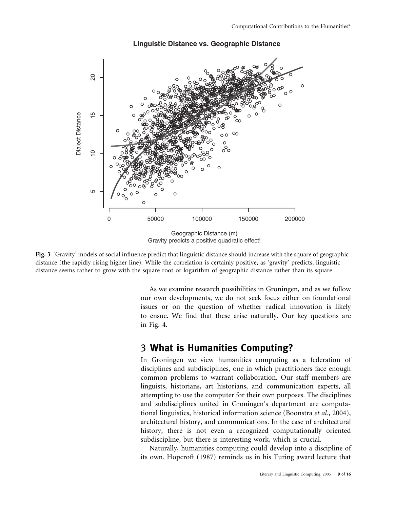

#### **Linguistic Distance vs. Geographic Distance**

Fig. 3 'Gravity' models of social influence predict that linguistic distance should increase with the square of geographic distance (the rapidly rising higher line). While the correlation is certainly positive, as 'gravity' predicts, linguistic distance seems rather to grow with the square root or logarithm of geographic distance rather than its square

As we examine research possibilities in Groningen, and as we follow our own developments, we do not seek focus either on foundational issues or on the question of whether radical innovation is likely to ensue. We find that these arise naturally. Our key questions are in Fig. 4.

### 3 What is Humanities Computing?

In Groningen we view humanities computing as a federation of disciplines and subdisciplines, one in which practitioners face enough common problems to warrant collaboration. Our staff members are linguists, historians, art historians, and communication experts, all attempting to use the computer for their own purposes. The disciplines and subdisciplines united in Groningen's department are computational linguistics, historical information science (Boonstra et al., 2004), architectural history, and communications. In the case of architectural history, there is not even a recognized computationally oriented subdiscipline, but there is interesting work, which is crucial.

Naturally, humanities computing could develop into a discipline of its own. Hopcroft (1987) reminds us in his Turing award lecture that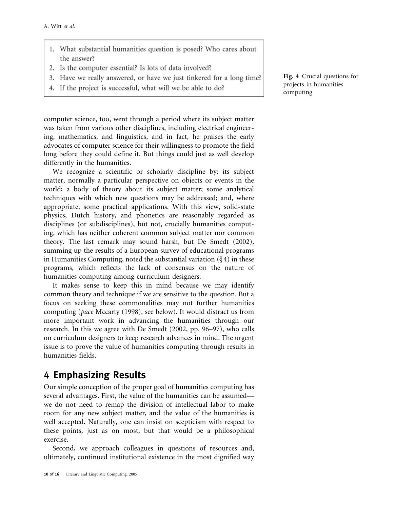- 1. What substantial humanities question is posed? Who cares about the answer?
- 2. Is the computer essential? Is lots of data involved?
- 3. Have we really answered, or have we just tinkered for a long time?
- 4. If the project is successful, what will we be able to do?

computer science, too, went through a period where its subject matter was taken from various other disciplines, including electrical engineering, mathematics, and linguistics, and in fact, he praises the early advocates of computer science for their willingness to promote the field long before they could define it. But things could just as well develop differently in the humanities.

We recognize a scientific or scholarly discipline by: its subject matter, normally a particular perspective on objects or events in the world; a body of theory about its subject matter; some analytical techniques with which new questions may be addressed; and, where appropriate, some practical applications. With this view, solid-state physics, Dutch history, and phonetics are reasonably regarded as disciplines (or subdisciplines), but not, crucially humanities computing, which has neither coherent common subject matter nor common theory. The last remark may sound harsh, but De Smedt (2002), summing up the results of a European survey of educational programs in Humanities Computing, noted the substantial variation  $(\S 4)$  in these programs, which reflects the lack of consensus on the nature of humanities computing among curriculum designers.

It makes sense to keep this in mind because we may identify common theory and technique if we are sensitive to the question. But a focus on seeking these commonalities may not further humanities computing (pace Mccarty (1998), see below). It would distract us from more important work in advancing the humanities through our research. In this we agree with De Smedt (2002, pp. 96–97), who calls on curriculum designers to keep research advances in mind. The urgent issue is to prove the value of humanities computing through results in humanities fields.

### 4 Emphasizing Results

Our simple conception of the proper goal of humanities computing has several advantages. First, the value of the humanities can be assumed we do not need to remap the division of intellectual labor to make room for any new subject matter, and the value of the humanities is well accepted. Naturally, one can insist on scepticism with respect to these points, just as on most, but that would be a philosophical exercise.

Second, we approach colleagues in questions of resources and, ultimately, continued institutional existence in the most dignified way Fig. 4 Crucial questions for projects in humanities computing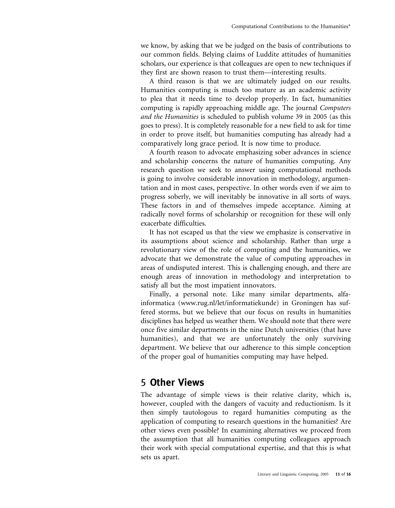we know, by asking that we be judged on the basis of contributions to our common fields. Belying claims of Luddite attitudes of humanities scholars, our experience is that colleagues are open to new techniques if they first are shown reason to trust them—interesting results.

A third reason is that we are ultimately judged on our results. Humanities computing is much too mature as an academic activity to plea that it needs time to develop properly. In fact, humanities computing is rapidly approaching middle age. The journal Computers and the Humanities is scheduled to publish volume 39 in 2005 (as this goes to press). It is completely reasonable for a new field to ask for time in order to prove itself, but humanities computing has already had a comparatively long grace period. It is now time to produce.

A fourth reason to advocate emphasizing sober advances in science and scholarship concerns the nature of humanities computing. Any research question we seek to answer using computational methods is going to involve considerable innovation in methodology, argumentation and in most cases, perspective. In other words even if we aim to progress soberly, we will inevitably be innovative in all sorts of ways. These factors in and of themselves impede acceptance. Aiming at radically novel forms of scholarship or recognition for these will only exacerbate difficulties.

It has not escaped us that the view we emphasize is conservative in its assumptions about science and scholarship. Rather than urge a revolutionary view of the role of computing and the humanities, we advocate that we demonstrate the value of computing approaches in areas of undisputed interest. This is challenging enough, and there are enough areas of innovation in methodology and interpretation to satisfy all but the most impatient innovators.

Finally, a personal note. Like many similar departments, alfainformatica (www.rug.nl/let/informatiekunde) in Groningen has suffered storms, but we believe that our focus on results in humanities disciplines has helped us weather them. We should note that there were once five similar departments in the nine Dutch universities (that have humanities), and that we are unfortunately the only surviving department. We believe that our adherence to this simple conception of the proper goal of humanities computing may have helped.

# 5 Other Views

The advantage of simple views is their relative clarity, which is, however, coupled with the dangers of vacuity and reductionism. Is it then simply tautologous to regard humanities computing as the application of computing to research questions in the humanities? Are other views even possible? In examining alternatives we proceed from the assumption that all humanities computing colleagues approach their work with special computational expertise, and that this is what sets us apart.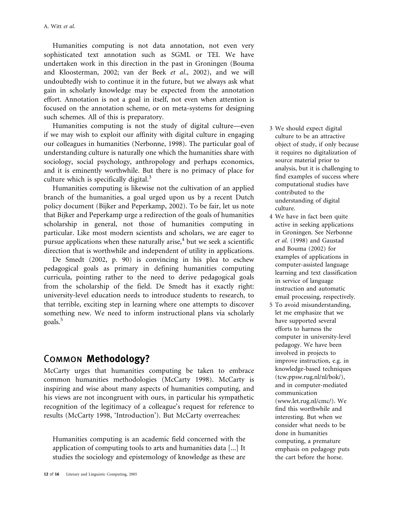Humanities computing is not data annotation, not even very sophisticated text annotation such as SGML or TEI. We have undertaken work in this direction in the past in Groningen (Bouma and Kloosterman, 2002; van der Beek et al., 2002), and we will undoubtedly wish to continue it in the future, but we always ask what gain in scholarly knowledge may be expected from the annotation effort. Annotation is not a goal in itself, not even when attention is focused on the annotation scheme, or on meta-systems for designing such schemes. All of this is preparatory.

Humanities computing is not the study of digital culture—even if we may wish to exploit our affinity with digital culture in engaging our colleagues in humanities (Nerbonne, 1998). The particular goal of understanding culture is naturally one which the humanities share with sociology, social psychology, anthropology and perhaps economics, and it is eminently worthwhile. But there is no primacy of place for culture which is specifically digital. $3$ 

Humanities computing is likewise not the cultivation of an applied branch of the humanities, a goal urged upon us by a recent Dutch policy document (Bijker and Peperkamp, 2002). To be fair, let us note that Bijker and Peperkamp urge a redirection of the goals of humanities scholarship in general, not those of humanities computing in particular. Like most modern scientists and scholars, we are eager to pursue applications when these naturally arise, $4$  but we seek a scientific direction that is worthwhile and independent of utility in applications.

De Smedt (2002, p. 90) is convincing in his plea to eschew pedagogical goals as primary in defining humanities computing curricula, pointing rather to the need to derive pedagogical goals from the scholarship of the field. De Smedt has it exactly right: university-level education needs to introduce students to research, to that terrible, exciting step in learning where one attempts to discover something new. We need to inform instructional plans via scholarly goals.<sup>5</sup>

# Common Methodology?

McCarty urges that humanities computing be taken to embrace common humanities methodologies (McCarty 1998). McCarty is inspiring and wise about many aspects of humanities computing, and his views are not incongruent with ours, in particular his sympathetic recognition of the legitimacy of a colleague's request for reference to results (McCarty 1998, 'Introduction'). But McCarty overreaches:

Humanities computing is an academic field concerned with the application of computing tools to arts and humanities data [...] It studies the sociology and epistemology of knowledge as these are

- 3 We should expect digital culture to be an attractive object of study, if only because it requires no digitalization of source material prior to analysis, but it is challenging to find examples of success where computational studies have contributed to the understanding of digital culture.
- 4 We have in fact been quite active in seeking applications in Groningen. See Nerbonne et al. (1998) and Gaustad and Bouma (2002) for examples of applications in computer-assisted language learning and text classification in service of language instruction and automatic email processing, respectively.
- 5 To avoid misunderstanding, let me emphasize that we have supported several efforts to harness the computer in university-level pedagogy. We have been involved in projects to improve instruction, e.g. in knowledge-based techniques (tcw.ppsw.rug.nl/nl/bok/), and in computer-mediated communication (www.let.rug.nl/cmc/). We find this worthwhile and interesting. But when we consider what needs to be done in humanities computing, a premature emphasis on pedagogy puts the cart before the horse.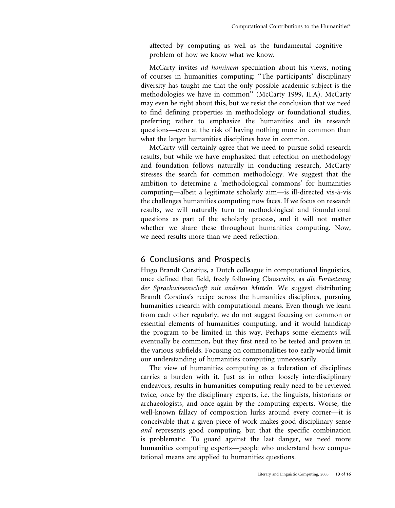affected by computing as well as the fundamental cognitive problem of how we know what we know.

McCarty invites ad hominem speculation about his views, noting of courses in humanities computing: ''The participants' disciplinary diversity has taught me that the only possible academic subject is the methodologies we have in common'' (McCarty 1999, II.A). McCarty may even be right about this, but we resist the conclusion that we need to find defining properties in methodology or foundational studies, preferring rather to emphasize the humanities and its research questions—even at the risk of having nothing more in common than what the larger humanities disciplines have in common.

McCarty will certainly agree that we need to pursue solid research results, but while we have emphasized that refection on methodology and foundation follows naturally in conducting research, McCarty stresses the search for common methodology. We suggest that the ambition to determine a 'methodological commons' for humanities computing—albeit a legitimate scholarly aim—is ill-directed vis-à-vis the challenges humanities computing now faces. If we focus on research results, we will naturally turn to methodological and foundational questions as part of the scholarly process, and it will not matter whether we share these throughout humanities computing. Now, we need results more than we need reflection.

### 6 Conclusions and Prospects

Hugo Brandt Corstius, a Dutch colleague in computational linguistics, once defined that field, freely following Clausewitz, as die Fortsetzung der Sprachwissenschaft mit anderen Mitteln. We suggest distributing Brandt Corstius's recipe across the humanities disciplines, pursuing humanities research with computational means. Even though we learn from each other regularly, we do not suggest focusing on common or essential elements of humanities computing, and it would handicap the program to be limited in this way. Perhaps some elements will eventually be common, but they first need to be tested and proven in the various subfields. Focusing on commonalities too early would limit our understanding of humanities computing unnecessarily.

The view of humanities computing as a federation of disciplines carries a burden with it. Just as in other loosely interdisciplinary endeavors, results in humanities computing really need to be reviewed twice, once by the disciplinary experts, i.e. the linguists, historians or archaeologists, and once again by the computing experts. Worse, the well-known fallacy of composition lurks around every corner—it is conceivable that a given piece of work makes good disciplinary sense and represents good computing, but that the specific combination is problematic. To guard against the last danger, we need more humanities computing experts—people who understand how computational means are applied to humanities questions.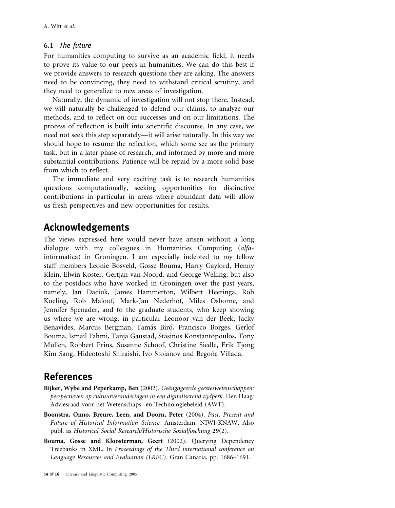#### 6.1 The future

For humanities computing to survive as an academic field, it needs to prove its value to our peers in humanities. We can do this best if we provide answers to research questions they are asking. The answers need to be convincing, they need to withstand critical scrutiny, and they need to generalize to new areas of investigation.

Naturally, the dynamic of investigation will not stop there. Instead, we will naturally be challenged to defend our claims, to analyze our methods, and to reflect on our successes and on our limitations. The process of reflection is built into scientific discourse. In any case, we need not seek this step separately—it will arise naturally. In this way we should hope to resume the reflection, which some see as the primary task, but in a later phase of research, and informed by more and more substantial contributions. Patience will be repaid by a more solid base from which to reflect.

The immediate and very exciting task is to research humanities questions computationally, seeking opportunities for distinctive contributions in particular in areas where abundant data will allow us fresh perspectives and new opportunities for results.

### Acknowledgements

The views expressed here would never have arisen without a long dialogue with my colleagues in Humanities Computing (alfainformatica) in Groningen. I am especially indebted to my fellow staff members Leonie Bosveld, Gosse Bouma, Harry Gaylord, Henny Klein, Elwin Koster, Gertjan van Noord, and George Welling, but also to the postdocs who have worked in Groningen over the past years, namely, Jan Daciuk, James Hammerton, Wilbert Heeringa, Rob Koeling, Rob Malouf, Mark-Jan Nederhof, Miles Osborne, and Jennifer Spenader, and to the graduate students, who keep showing us where we are wrong, in particular Leonoor van der Beek, Jacky Benavides, Marcus Bergman, Tamás Biró, Francisco Borges, Gerlof Bouma, Ismail Fahmi, Tanja Gaustad, Stasinos Konstantopoulos, Tony Mullen, Robbert Prins, Susanne Schoof, Christine Siedle, Erik Tjong Kim Sang, Hideotoshi Shiraishi, Ivo Stoianov and Begoña Villada.

### References

- Bijker, Wybe and Peperkamp, Ben (2002). Geëngageerde geesteswetenschappen: perspectieven op cultuurveranderingen in een digitaliserend tijdperk. Den Haag: Adviesraad voor het Wetenschaps- en Technologiebeleid (AWT).
- Boonstra, Onno, Breure, Leen, and Doorn, Peter (2004). Past, Present and Future of Historical Information Science. Amsterdam: NIWI-KNAW. Also publ. as Historical Social Research/Historische Sozialfoschung 29(2).
- Bouma, Gosse and Kloosterman, Geert (2002). Querying Dependency Treebanks in XML. In Proceedings of the Third international conference on Language Resources and Evaluation (LREC). Gran Canaria, pp. 1686–1691.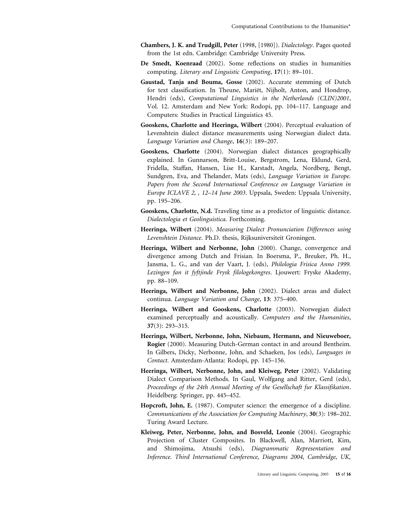- Chambers, J. K. and Trudgill, Peter (1998, [1980]). Dialectology. Pages quoted from the 1st edn. Cambridge: Cambridge University Press.
- De Smedt, Koenraad (2002). Some reflections on studies in humanities computing. Literary and Linguistic Computing, 17(1): 89–101.
- Gaustad, Tanja and Bouma, Gosse (2002). Accurate stemming of Dutch for text classification. In Theune, Mariët, Nijholt, Anton, and Hondrop, Hendri (eds), Computational Linguistics in the Netherlands (CLIN)2001, Vol. 12. Amsterdam and New York: Rodopi, pp. 104–117. Language and Computers: Studies in Practical Linguistics 45.
- Gooskens, Charlotte and Heeringa, Wilbert (2004). Perceptual evaluation of Levenshtein dialect distance measurements using Norwegian dialect data. Language Variation and Change, 16(3): 189–207.
- Gooskens, Charlotte (2004). Norwegian dialect distances geographically explained. In Gunnarson, Britt-Louise, Bergstrom, Lena, Eklund, Gerd, Fridella, Staffan, Hansen, Lise H., Karstadt, Angela, Nordberg, Bengt, Sundgren, Eva, and Thelander, Mats (eds), Language Variation in Europe. Papers from the Second International Conference on Language Variation in Europe ICLAVE 2, , 12–14 June 2003. Uppsala, Sweden: Uppsala University, pp. 195–206.
- Gooskens, Charlotte, N.d. Traveling time as a predictor of linguistic distance. Dialectologia et Geolinguistica. Forthcoming.
- Heeringa, Wilbert (2004). Measuring Dialect Pronunciation Differences using Levenshtein Distance. Ph.D. thesis, Rijksuniversiteit Groningen.
- Heeringa, Wilbert and Nerbonne, John (2000). Change, convergence and divergence among Dutch and Frisian. In Boersma, P., Breuker, Ph. H., Jansma, L. G., and van der Vaart, J. (eds), Philologia Frisica Anno 1999. Lezingen fan it fyftjinde Frysk filologekongres. Ljouwert: Fryske Akademy, pp. 88–109.
- Heeringa, Wilbert and Nerbonne, John (2002). Dialect areas and dialect continua. Language Variation and Change, 13: 375–400.
- Heeringa, Wilbert and Gooskens, Charlotte (2003). Norwegian dialect examined perceptually and acoustically. Computers and the Humanities, 37(3): 293–315.
- Heeringa, Wilbert, Nerbonne, John, Niebaum, Hermann, and Nieuweboer, Rogier (2000). Measuring Dutch-German contact in and around Bentheim. In Gilbers, Dicky, Nerbonne, John, and Schaeken, Jos (eds), Languages in Contact. Amsterdam-Atlanta: Rodopi, pp. 145–156.
- Heeringa, Wilbert, Nerbonne, John, and Kleiweg, Peter (2002). Validating Dialect Comparison Methods. In Gaul, Wolfgang and Ritter, Gerd (eds), Proceedings of the 24th Annual Meeting of the Gesellschaft fur Klassifikation. Heidelberg: Springer, pp. 445–452.
- Hopcroft, John, E. (1987). Computer science: the emergence of a discipline. Communications of the Association for Computing Machinery, 30(3): 198–202. Turing Award Lecture.
- Kleiweg, Peter, Nerbonne, John, and Bosveld, Leonie (2004). Geographic Projection of Cluster Composites. In Blackwell, Alan, Marriott, Kim, and Shimojima, Atsushi (eds), Diagrammatic Representation and Inference. Third International Conference, Diagrams 2004, Cambridge, UK,